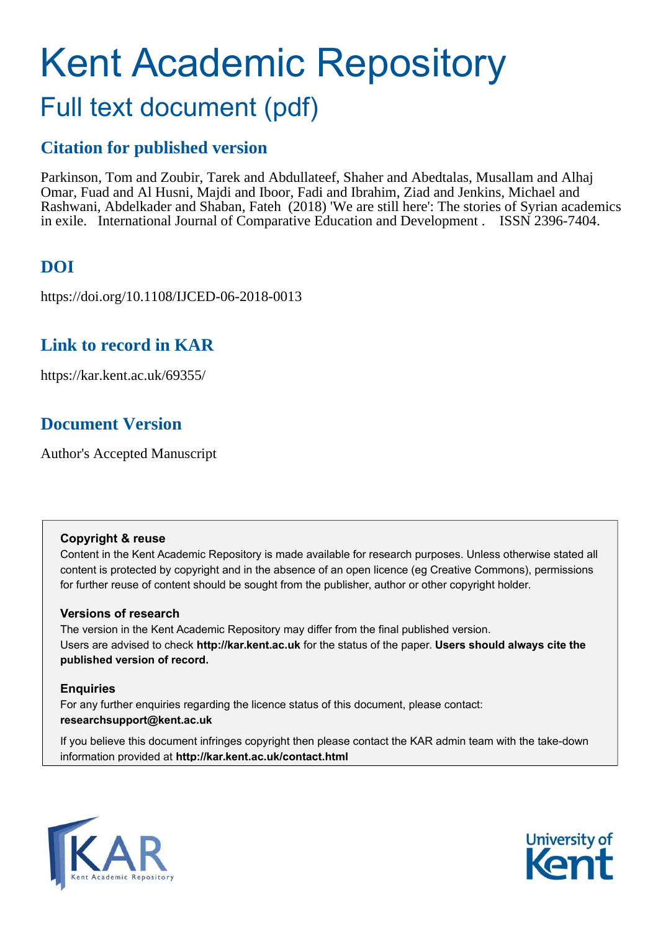# Kent Academic Repository Full text document (pdf)

# **Citation for published version**

Parkinson, Tom and Zoubir, Tarek and Abdullateef, Shaher and Abedtalas, Musallam and Alhaj Omar, Fuad and Al Husni, Majdi and Iboor, Fadi and Ibrahim, Ziad and Jenkins, Michael and Rashwani, Abdelkader and Shaban, Fateh (2018) 'We are still here': The stories of Syrian academics in exile. International Journal of Comparative Education and Development . ISSN 2396-7404.

# **DOI**

https://doi.org/10.1108/IJCED-06-2018-0013

### **Link to record in KAR**

https://kar.kent.ac.uk/69355/

# **Document Version**

Author's Accepted Manuscript

#### **Copyright & reuse**

Content in the Kent Academic Repository is made available for research purposes. Unless otherwise stated all content is protected by copyright and in the absence of an open licence (eg Creative Commons), permissions for further reuse of content should be sought from the publisher, author or other copyright holder.

#### **Versions of research**

The version in the Kent Academic Repository may differ from the final published version. Users are advised to check **http://kar.kent.ac.uk** for the status of the paper. **Users should always cite the published version of record.**

#### **Enquiries**

For any further enquiries regarding the licence status of this document, please contact: **researchsupport@kent.ac.uk**

If you believe this document infringes copyright then please contact the KAR admin team with the take-down information provided at **http://kar.kent.ac.uk/contact.html**



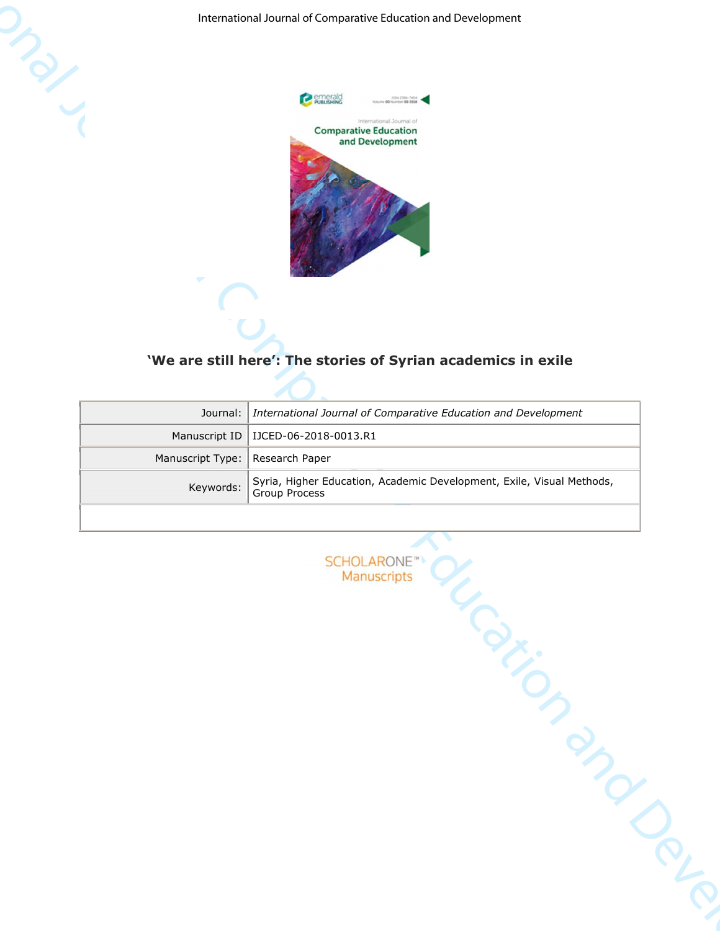

#### **`We are still here': The stories of Syrian academics in exile**

|                  | International Journal of Comparative Education and Development                                            |
|------------------|-----------------------------------------------------------------------------------------------------------|
| R                |                                                                                                           |
|                  | P emerald<br>ESN 2356-7404<br>International Journal of<br><b>Comparative Education</b><br>and Development |
|                  |                                                                                                           |
|                  | 'We are still here': The stories of Syrian academics in exile                                             |
|                  | Journal:   International Journal of Comparative Education and Development                                 |
| Manuscript ID    | IJCED-06-2018-0013.R1                                                                                     |
| Manuscript Type: | Research Paper                                                                                            |
| Keywords:        | Syria, Higher Education, Academic Development, Exile, Visual Methods,<br>Group Process                    |
|                  | SCHOLARONE™<br>Manuscripts<br><b>GARISTICAL PROPERTY</b>                                                  |
|                  |                                                                                                           |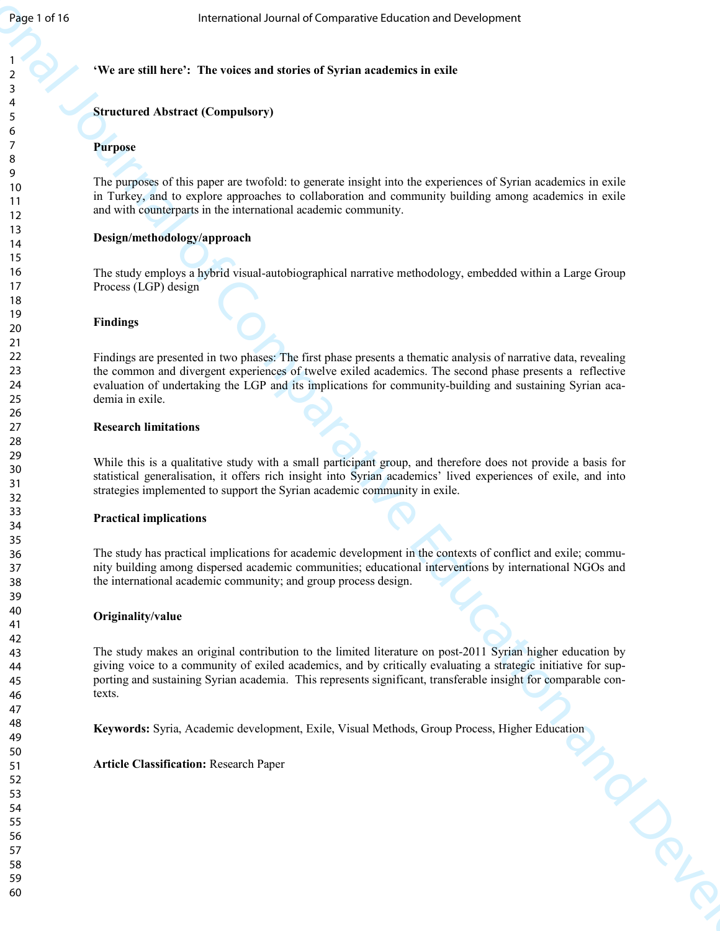#### **'We are still here':** The voices and stories of Syrian academics in exile

#### **Structured Abstract (Compulsory)**

#### **Purpose**

The purposes of this paper are twofold: to generate insight into the experiences of Syrian academics in exile in Turkey, and to explore approaches to collaboration and community building among academics in exile and with counterparts in the international academic community.

#### Design/methodology/approach

The study employs a hybrid visual-autobiographical narrative methodology, embedded within a Large Group Process (LGP) design

#### **Findings**

**IFM210 27**<br>
The new still have's The voices and started  $\pi$  System members in evolve the volve of Comparative Education and Development and Development of Comparative Education and Development and Development and Develo Findings are presented in two phases: The first phase presents a thematic analysis of narrative data, revealing the common and divergent experiences of twelve exiled academics. The second phase presents a reflective evaluation of undertaking the LGP and its implications for community-building and sustaining Syrian academia in exile.

#### **Research limitations**

While this is a qualitative study with a small participant group, and therefore does not provide a basis for statistical generalisation, it offers rich insight into Syrian academics' lived experiences of exile, and into strategies implemented to support the Syrian academic community in exile.

#### **Practical implications**

The study has practical implications for academic development in the contexts of conflict and exile; commu nity building among dispersed academic communities; educational interventions by international NGOs and the international academic community; and group process design.

#### **Originality/value**

The study makes an original contribution to the limited literature on post2011 Syrian higher education by giving voice to a community of exiled academics, and by critically evaluating a strategic initiative for sup porting and sustaining Syrian academia. This represents significant, transferable insight for comparable con texts.

**Keywords:** Syria, Academic development, Exile, Visual Methods, Group Process, Higher Education

**Article Classification: Research Paper**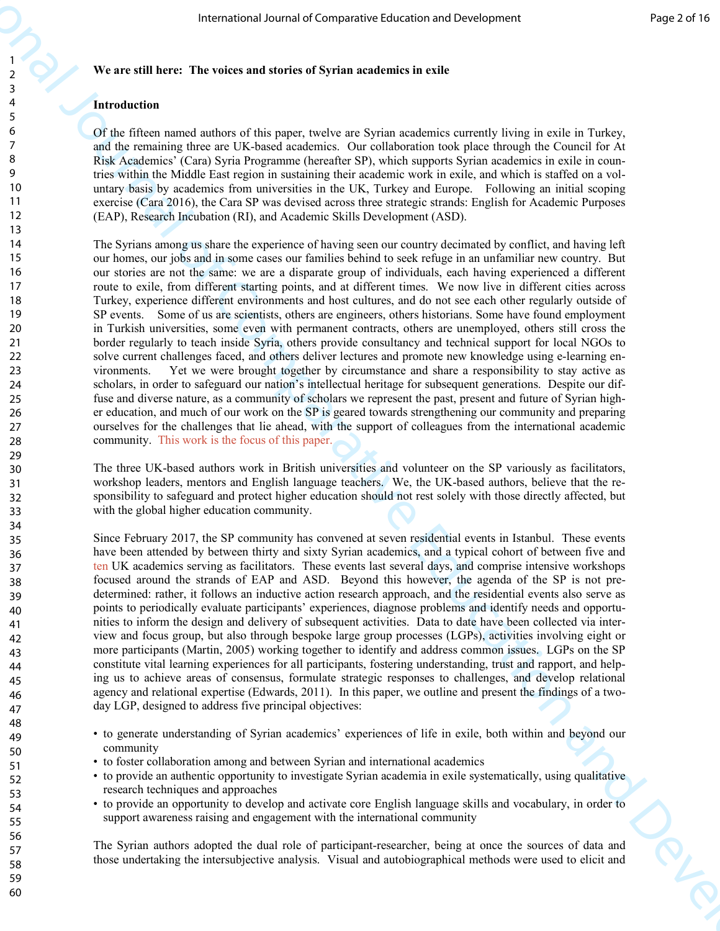#### We are still here: The voices and stories of Syrian academics in exile

#### **Introduction**

Of the fifteen named authors of this paper, twelve are Syrian academics currently living in exile in Turkey, and the remaining three are UK-based academics. Our collaboration took place through the Council for At Risk Academics' (Cara) Syria Programme (hereafter SP), which supports Syrian academics in exile in coun tries within the Middle East region in sustaining their academic work in exile, and which is staffed on a vol untary basis by academics from universities in the UK, Turkey and Europe. Following an initial scoping exercise (Cara 2016), the Cara SP was devised across three strategic strands: English for Academic Purposes (EAP), Research Incubation (RI), and Academic Skills Development (ASD).

**IF the comparative Educational Schonaristic actions and continue the comparative Education And The Comparative Education And The Comparative Education and The Comparative Education and Development Comparative Education a** The Syrians among us share the experience of having seen our country decimated by conflict, and having left our homes, our jobs and in some cases our families behind to seek refuge in an unfamiliar new country. But our stories are not the same: we are a disparate group of individuals, each having experienced a different route to exile, from different starting points, and at different times. We now live in different cities across Turkey, experience different environments and host cultures, and do not see each other regularly outside of SP events. Some of us are scientists, others are engineers, others historians. Some have found employment in Turkish universities, some even with permanent contracts, others are unemployed, others still cross the border regularly to teach inside Syria, others provide consultancy and technical support for local NGOs to solve current challenges faced, and others deliver lectures and promote new knowledge using e-learning environments. Yet we were brought together by circumstance and share a responsibility to stay active as scholars, in order to safeguard our nation's intellectual heritage for subsequent generations. Despite our dif fuse and diverse nature, as a community of scholars we represent the past, present and future of Syrian high er education, and much of our work on the SP is geared towards strengthening our community and preparing ourselves for the challenges that lie ahead, with the support of colleagues from the international academic community. This work is the focus of this paper.

The three UK-based authors work in British universities and volunteer on the SP variously as facilitators, workshop leaders, mentors and English language teachers. We, the UK-based authors, believe that the responsibility to safeguard and protect higher education should not rest solely with those directly affected, but with the global higher education community.

Since February 2017, the SP community has convened at seven residential events in Istanbul. These events have been attended by between thirty and sixty Syrian academics, and a typical cohort of between five and ten UK academics serving as facilitators. These events last several days, and comprise intensive workshops focused around the strands of EAP and ASD. Beyond this however, the agenda of the SP is not pre determined: rather, it follows an inductive action research approach, and the residential events also serve as points to periodically evaluate participants' experiences, diagnose problems and identify needs and opportu nities to inform the design and delivery of subsequent activities. Data to date have been collected via inter view and focus group, but also through bespoke large group processes (LGPs), activities involving eight or more participants (Martin, 2005) working together to identify and address common issues. LGPs on the SP constitute vital learning experiences for all participants, fostering understanding, trust and rapport, and help ing us to achieve areas of consensus, formulate strategic responses to challenges, and develop relational agency and relational expertise (Edwards, 2011). In this paper, we outline and present the findings of a two day LGP, designed to address five principal objectives:

- to generate understanding of Syrian academics' experiences of life in exile, both within and beyond our community
- to foster collaboration among and between Syrian and international academics
- to provide an authentic opportunity to investigate Syrian academia in exile systematically, using qualitative research techniques and approaches
- to provide an opportunity to develop and activate core English language skills and vocabulary, in order to support awareness raising and engagement with the international community

The Syrian authors adopted the dual role of participant-researcher, being at once the sources of data and those undertaking the intersubjective analysis. Visual and autobiographical methods were used to elicit and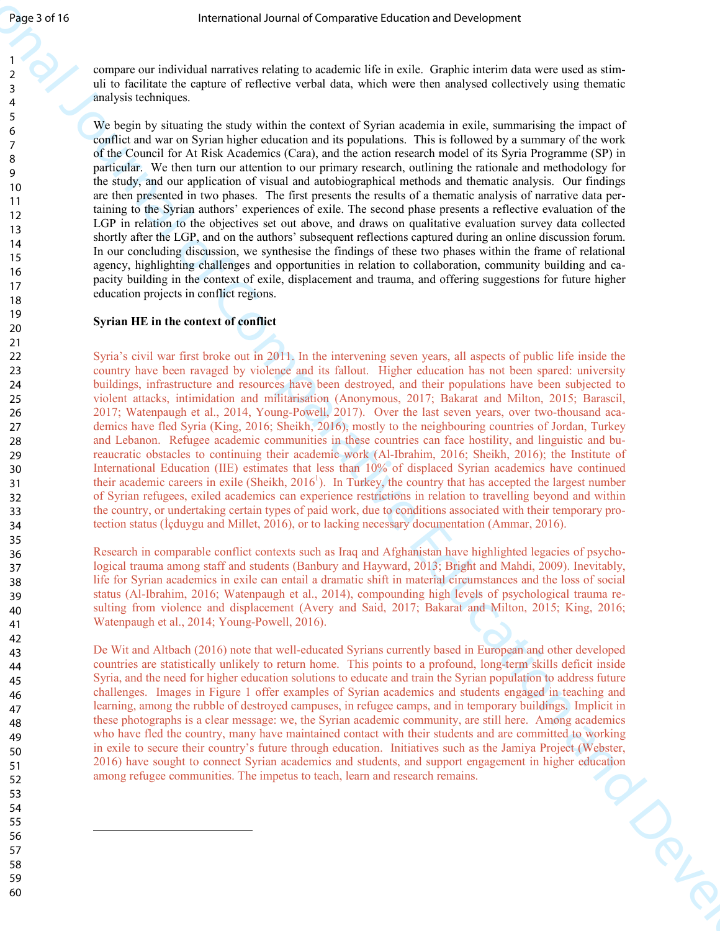compare our individual narratives relating to academic life in exile. Graphic interim data were used as stim uli to facilitate the capture of reflective verbal data, which were then analysed collectively using thematic analysis techniques.

We begin by situating the study within the context of Syrian academia in exile, summarising the impact of conflict and war on Syrian higher education and its populations. This is followed by a summary of the work of the Council for At Risk Academics (Cara), and the action research model of its Syria Programme (SP) in particular. We then turn our attention to our primary research, outlining the rationale and methodology for the study, and our application of visual and autobiographical methods and thematic analysis. Our findings are then presented in two phases. The first presents the results of a thematic analysis of narrative data per taining to the Syrian authors' experiences of exile. The second phase presents a reflective evaluation of the LGP in relation to the objectives set out above, and draws on qualitative evaluation survey data collected shortly after the LGP, and on the authors' subsequent reflections captured during an online discussion forum. In our concluding discussion, we synthesise the findings of these two phases within the frame of relational agency, highlighting challenges and opportunities in relation to collaboration, community building and ca pacity building in the context of exile, displacement and trauma, and offering suggestions for future higher education projects in conflict regions.

#### **Syrian HE** in the context of conflict

**INTERFERIME CONTROL CONTROL CONTROL CONTROL CONTROL CONTROL CONTROL CONTROL CONTROL CONTROL CONTROL CONTROL CONTROL CONTROL CONTROL CONTROL CONTROL CONTROL CONTROL CONTROL CONTROL CONTROL CONTROL CONTROL CONTROL CONTROL** Syria's civil war first broke out in 2011. In the intervening seven years, all aspects of public life inside the country have been ravaged by violence and its fallout. Higher education has not been spared: university buildings, infrastructure and resources have been destroyed, and their populations have been subjected to violent attacks, intimidation and militarisation (Anonymous, 2017; Bakarat and Milton, 2015; Barascil, 2017; Watenpaugh et al., 2014, Young-Powell, 2017). Over the last seven years, over two-thousand academics have fled Syria (King, 2016; Sheikh, 2016), mostly to the neighbouring countries of Jordan, Turkey and Lebanon. Refugee academic communities in these countries can face hostility, and linguistic and bu reaucratic obstacles to continuing their academic work (Al-Ibrahim, 2016; Sheikh, 2016); the Institute of International Education (IIE) estimates that less than 10% of displaced Syrian academics have continued their academic careers in exile (Sheikh,  $2016<sup>1</sup>$ ). In Turkey, the country that has accepted the largest number of Syrian refugees, exiled academics can experience restrictions in relation to travelling beyond and within the country, or undertaking certain types of paid work, due to conditions associated with their temporary pro tection status (Icduygu and Millet, 2016), or to lacking necessary documentation (Ammar, 2016).

Research in comparable conflict contexts such as Iraq and Afghanistan have highlighted legacies of psycho logical trauma among staff and students (Banbury and Hayward, 2013; Bright and Mahdi, 2009). Inevitably, life for Syrian academics in exile can entail a dramatic shift in material circumstances and the loss of social status (Al-Ibrahim, 2016; Watenpaugh et al., 2014), compounding high levels of psychological trauma resulting from violence and displacement (Avery and Said, 2017; Bakarat and Milton, 2015; King, 2016; Watenpaugh et al., 2014; Young-Powell, 2016).

De Wit and Altbach (2016) note that well-educated Syrians currently based in European and other developed countries are statistically unlikely to return home. This points to a profound, long-term skills deficit inside Syria, and the need for higher education solutions to educate and train the Syrian population to address future challenges. Images in Figure 1 offer examples of Syrian academics and students engaged in teaching and learning, among the rubble of destroyed campuses, in refugee camps, and in temporary buildings. Implicit in these photographs is a clear message: we, the Syrian academic community, are still here. Among academics who have fled the country, many have maintained contact with their students and are committed to working in exile to secure their country's future through education. Initiatives such as the Jamiya Project (Webster, 2016) have sought to connect Syrian academics and students, and support engagement in higher education<br>among refugee communities. The impetus to teach, learn and research remains. among refugee communities. The impetus to teach, learn and research remains.

59 60 -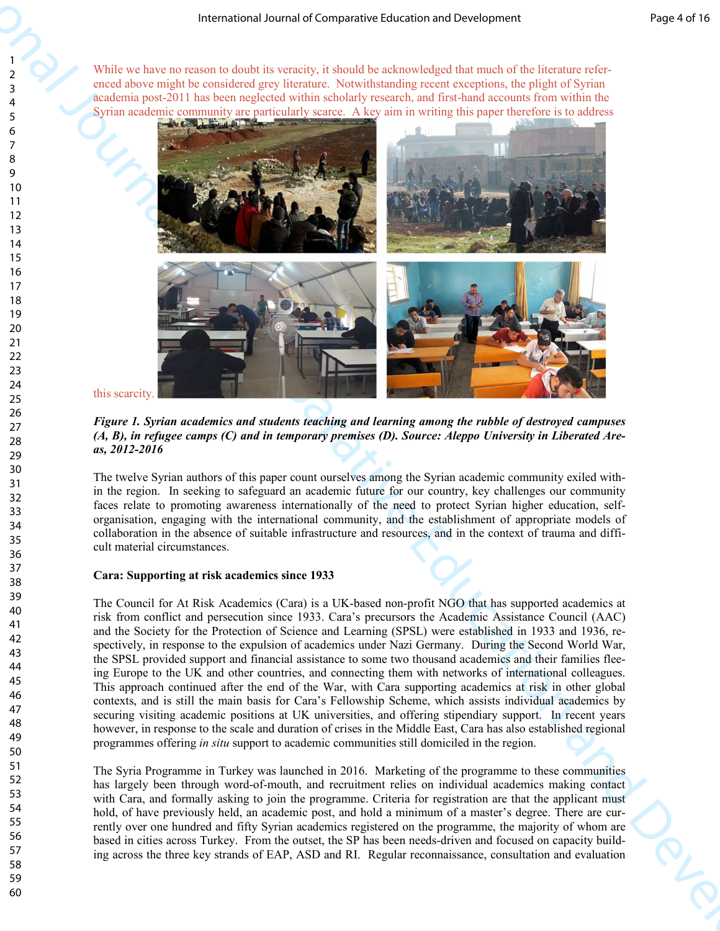While we have no reason to doubt its veracity, it should be acknowledged that much of the literature refer enced above might be considered grey literature. Notwithstanding recent exceptions, the plight of Syrian academia post-2011 has been neglected within scholarly research, and first-hand accounts from within the Syrian academic community are particularly scarce. A key aim in writing this paper therefore is to address



Figure 1. Syrian academics and students teaching and learning among the rubble of destroyed campuses  $(A, B)$ , in refugee camps (C) and in temporary premises (D). Source: Aleppo University in Liberated Areas, 2012-2016

The twelve Syrian authors of this paper count ourselves among the Syrian academic community exiled with in the region. In seeking to safeguard an academic future for our country, key challenges our community faces relate to promoting awareness internationally of the need to protect Syrian higher education, self organisation, engaging with the international community, and the establishment of appropriate models of collaboration in the absence of suitable infrastructure and resources, and in the context of trauma and diffi cult material circumstances.

#### **Cara: Supporting at risk academics since 1933**

The Council for At Risk Academics (Cara) is a UK-based non-profit NGO that has supported academics at risk from conflict and persecution since 1933. Cara's precursors the Academic Assistance Council (AAC) and the Society for the Protection of Science and Learning (SPSL) were established in 1933 and 1936, re spectively, in response to the expulsion of academics under Nazi Germany. During the Second World War, the SPSL provided support and financial assistance to some two thousand academics and their families flee ing Europe to the UK and other countries, and connecting them with networks of international colleagues. This approach continued after the end of the War, with Cara supporting academics at risk in other global contexts, and is still the main basis for Cara's Fellowship Scheme, which assists individual academics by securing visiting academic positions at UK universities, and offering stipendiary support. In recent years however, in response to the scale and duration of crises in the Middle East, Cara has also established regional programmes offering *in situ* support to academic communities still domiciled in the region.

The Syria Programme in Turkey was launched in 2016. Marketing of the programme to these communities has largely been through word-of-mouth, and recruitment relies on individual academics making contact with Cara, and formally asking to join the programme. Criteria for registration are that the applicant must hold, of have previously held, an academic post, and hold a minimum of a master's degree. There are cur rently over one hundred and fifty Syrian academics registered on the programme, the majority of whom are based in cities across Turkey. From the outset, the SP has been needs-driven and focused on capacity building across the three key strands of EAP, ASD and RI. Regular reconnaissance, consultation and evaluation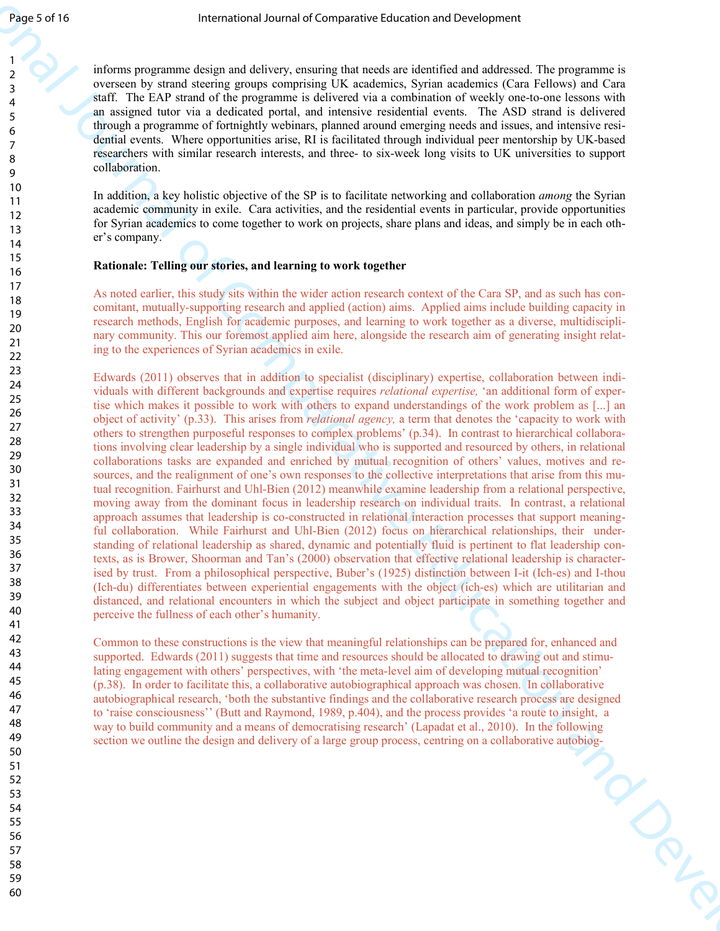informs programme design and delivery, ensuring that needs are identified and addressed. The programme is overseen by strand steering groups comprising UK academics, Syrian academics (Cara Fellows) and Cara staff. The EAP strand of the programme is delivered via a combination of weekly one-to-one lessons with an assigned tutor via a dedicated portal, and intensive residential events. The ASD strand is delivered through a programme of fortnightly webinars, planned around emerging needs and issues, and intensive resi dential events. Where opportunities arise, RI is facilitated through individual peer mentorship by UK-based researchers with similar research interests, and three to sixweek long visits to UK universities to support collaboration.

In addition, a key holistic objective of the SP is to facilitate networking and collaboration *among* the Syrian academic community in exile. Cara activities, and the residential events in particular, provide opportunities for Syrian academics to come together to work on projects, share plans and ideas, and simply be in each oth er's company.

#### **Rationale: Telling our stories, and learning to work together**

As noted earlier, this study sits within the wider action research context of the Cara SP, and as such has con comitant, mutuallysupporting research and applied (action) aims. Applied aims include building capacity in research methods, English for academic purposes, and learning to work together as a diverse, multidiscipli nary community. This our foremost applied aim here, alongside the research aim of generating insight relat ing to the experiences of Syrian academics in exile.

**INTERFERENT SECTION CONTROL CONTROL CONTROL CONTROL CONTROL CONTROL CONTROL CONTROL CONTROL CONTROL CONTROL CONTROL CONTROL CONTROL CONTROL CONTROL CONTROL CONTROL CONTROL CONTROL CONTROL CONTROL CONTROL CONTROL CONTROL** Edwards (2011) observes that in addition to specialist (disciplinary) expertise, collaboration between indi viduals with different backgrounds and expertise requires *relational expertise*, 'an additional form of expertise which makes it possible to work with others to expand understandings of the work problem as [...] an object of activity' (p.33). This arises from *relational agency*, a term that denotes the 'capacity to work with others to strengthen purposeful responses to complex problems' (p.34). In contrast to hierarchical collabora tions involving clear leadership by a single individual who is supported and resourced by others, in relational collaborations tasks are expanded and enriched by mutual recognition of others' values, motives and re sources, and the realignment of one's own responses to the collective interpretations that arise from this mu tual recognition. Fairhurst and Uhl-Bien (2012) meanwhile examine leadership from a relational perspective, moving away from the dominant focus in leadership research on individual traits. In contrast, a relational approach assumes that leadership is co-constructed in relational interaction processes that support meaningful collaboration. While Fairhurst and Uhl-Bien (2012) focus on hierarchical relationships, their understanding of relational leadership as shared, dynamic and potentially fluid is pertinent to flat leadership con texts, as is Brower, Shoorman and Tan's (2000) observation that effective relational leadership is character ised by trust. From a philosophical perspective, Buber's (1925) distinction between I-it (Ich-es) and I-thou (Ich-du) differentiates between experiential engagements with the object (ich-es) which are utilitarian and distanced, and relational encounters in which the subject and object participate in something together and perceive the fullness of each other's humanity.

Common to these constructions is the view that meaningful relationships can be prepared for, enhanced and supported. Edwards (2011) suggests that time and resources should be allocated to drawing out and stimulating engagement with others' perspectives, with 'the meta-level aim of developing mutual recognition' (p.38). In order to facilitate this, a collaborative autobiographical approach was chosen. In collaborative autobiographical research, 'both the substantive findings and the collaborative research process are designed to 'raise consciousness'' (Butt and Raymond, 1989, p.404), and the process provides 'a route to insight, a way to build community and a means of democratising research' (Lapadat et al., 2010). In the following<br>section we outline the design and delivery of a large group process, centring on a collaborative autobiog-<br>according to section we outline the design and delivery of a large group process, centring on a collaborative autobiog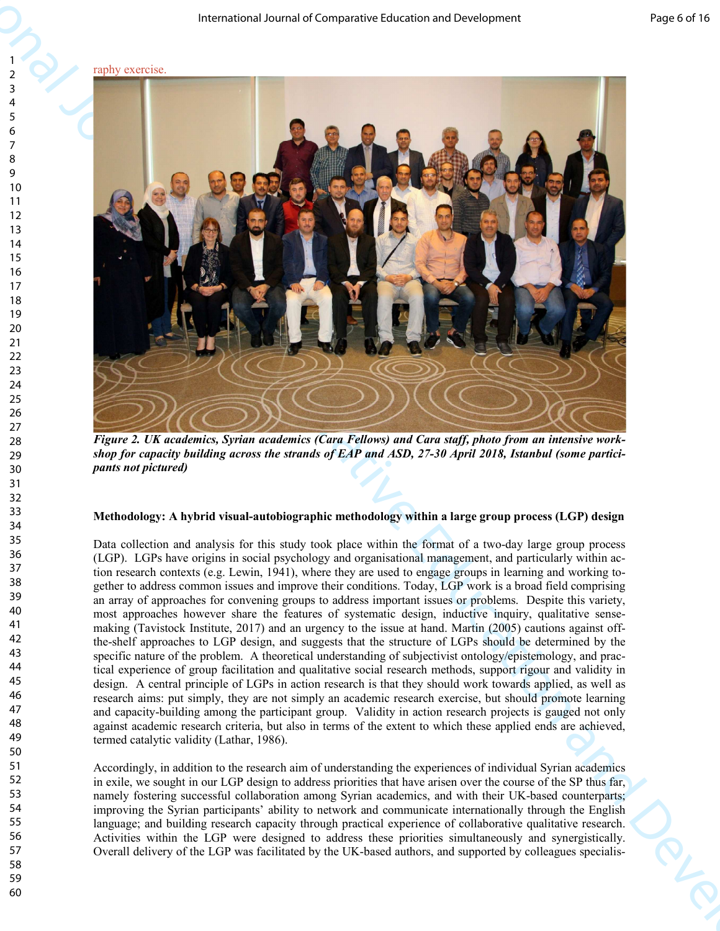



*Figure 2. UK academics, Syrian academics (Cara Fellows) and Cara staff, photo from an intensive work*shop for capacity building across the strands of EAP and ASD, 27-30 April 2018, Istanbul (some participants not pictured)

#### **Methodology: A hybrid visual-autobiographic methodology within a large group process (LGP) design**

Data collection and analysis for this study took place within the format of a two-day large group process (LGP). LGPs have origins in social psychology and organisational management, and particularly within ac tion research contexts (e.g. Lewin, 1941), where they are used to engage groups in learning and working to gether to address common issues and improve their conditions. Today, LGP work is a broad field comprising an array of approaches for convening groups to address important issues or problems. Despite this variety, most approaches however share the features of systematic design, inductive inquiry, qualitative sense making (Tavistock Institute, 2017) and an urgency to the issue at hand. Martin (2005) cautions against off theshelf approaches to LGP design, and suggests that the structure of LGPs should be determined by the specific nature of the problem. A theoretical understanding of subjectivist ontology/epistemology, and prac tical experience of group facilitation and qualitative social research methods, support rigour and validity in design. A central principle of LGPs in action research is that they should work towards applied, as well as research aims: put simply, they are not simply an academic research exercise, but should promote learning and capacity-building among the participant group. Validity in action research projects is gauged not only against academic research criteria, but also in terms of the extent to which these applied ends are achieved, termed catalytic validity (Lathar, 1986).

Accordingly, in addition to the research aim of understanding the experiences of individual Syrian academics in exile, we sought in our LGP design to address priorities that have arisen over the course of the SP thus far, namely fostering successful collaboration among Syrian academics, and with their UK-based counterparts; improving the Syrian participants' ability to network and communicate internationally through the English language; and building research capacity through practical experience of collaborative qualitative research. Activities within the LGP were designed to address these priorities simultaneously and synergistically. Overall delivery of the LGP was facilitated by the UK-based authors, and supported by colleagues specialis-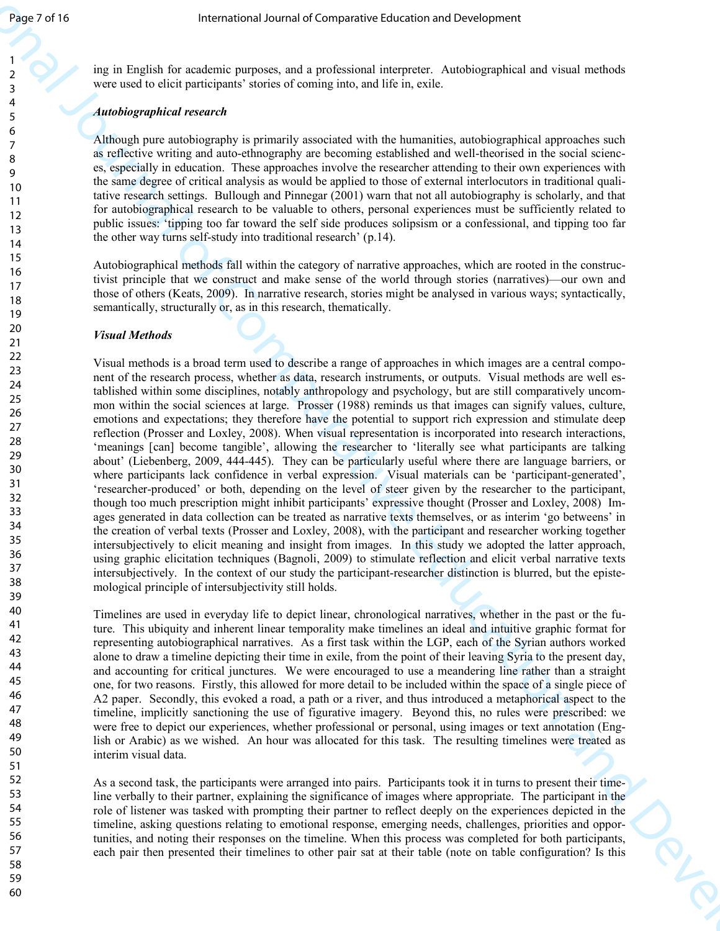ing in English for academic purposes, and a professional interpreter. Autobiographical and visual methods were used to elicit participants' stories of coming into, and life in, exile.

#### *Autobiographical research*

Although pure autobiography is primarily associated with the humanities, autobiographical approaches such as reflective writing and auto-ethnography are becoming established and well-theorised in the social sciences, especially in education. These approaches involve the researcher attending to their own experiences with the same degree of critical analysis as would be applied to those of external interlocutors in traditional quali tative research settings. Bullough and Pinnegar (2001) warn that not all autobiography is scholarly, and that for autobiographical research to be valuable to others, personal experiences must be sufficiently related to public issues: 'tipping too far toward the self side produces solipsism or a confessional, and tipping too far the other way turns self-study into traditional research' (p.14).

Autobiographical methods fall within the category of narrative approaches, which are rooted in the construc tivist principle that we construct and make sense of the world through stories (narratives)—our own and those of others (Keats, 2009). In narrative research, stories might be analysed in various ways; syntactically, semantically, structurally or, as in this research, thematically.

#### $Visual Methods$

**IPS 22 7 61**<br>
International of the system and a performant interpretational or the system particle is a structure of the system and the system and the system and the system and the system and Development is a system and Visual methods is a broad term used to describe a range of approaches in which images are a central compo nent of the research process, whether as data, research instruments, or outputs. Visual methods are well es tablished within some disciplines, notably anthropology and psychology, but are still comparatively uncom mon within the social sciences at large. Prosser (1988) reminds us that images can signify values, culture, emotions and expectations; they therefore have the potential to support rich expression and stimulate deep reflection (Prosser and Loxley, 2008). When visual representation is incorporated into research interactions, 'meanings [can] become tangible', allowing the researcher to 'literally see what participants are talking about' (Liebenberg, 2009, 444445). They can be particularly useful where there are language barriers, or where participants lack confidence in verbal expression. Visual materials can be 'participant-generated', 'researcher-produced' or both, depending on the level of steer given by the researcher to the participant, though too much prescription might inhibit participants' expressive thought (Prosser and Loxley, 2008) Im ages generated in data collection can be treated as narrative texts themselves, or as interim 'go betweens' in the creation of verbal texts (Prosser and Loxley, 2008), with the participant and researcher working together intersubjectively to elicit meaning and insight from images. In this study we adopted the latter approach, using graphic elicitation techniques (Bagnoli, 2009) to stimulate reflection and elicit verbal narrative texts intersubjectively. In the context of our study the participant-researcher distinction is blurred, but the epistemological principle of intersubjectivity still holds.

Timelines are used in everyday life to depict linear, chronological narratives, whether in the past or the fu ture. This ubiquity and inherent linear temporality make timelines an ideal and intuitive graphic format for representing autobiographical narratives. As a first task within the LGP, each of the Syrian authors worked alone to draw a timeline depicting their time in exile, from the point of their leaving Syria to the present day, and accounting for critical junctures. We were encouraged to use a meandering line rather than a straight one, for two reasons. Firstly, this allowed for more detail to be included within the space of a single piece of A2 paper. Secondly, this evoked a road, a path or a river, and thus introduced a metaphorical aspect to the timeline, implicitly sanctioning the use of figurative imagery. Beyond this, no rules were prescribed: we were free to depict our experiences, whether professional or personal, using images or text annotation (Eng lish or Arabic) as we wished. An hour was allocated for this task. The resulting timelines were treated as interim visual data.

As a second task, the participants were arranged into pairs. Participants took it in turns to present their time line verbally to their partner, explaining the significance of images where appropriate. The participant in the role of listener was tasked with prompting their partner to reflect deeply on the experiences depicted in the timeline, asking questions relating to emotional response, emerging needs, challenges, priorities and oppor tunities, and noting their responses on the timeline. When this process was completed for both participants, each pair then presented their timelines to other pair sat at their table (note on table configuration? Is this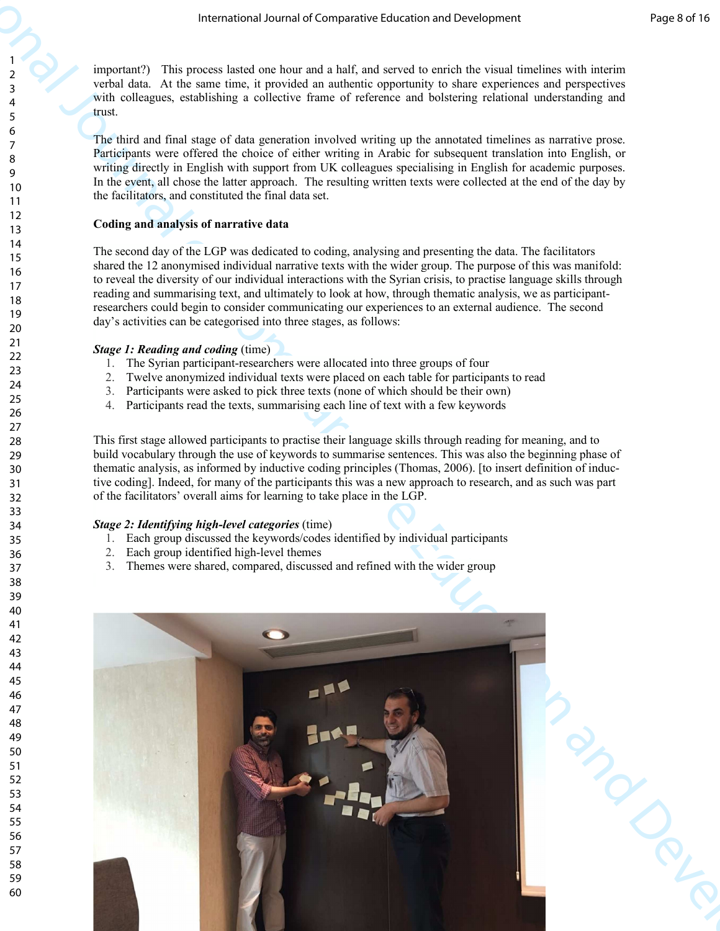important?) This process lasted one hour and a half, and served to enrich the visual timelines with interim verbal data. At the same time, it provided an authentic opportunity to share experiences and perspectives with colleagues, establishing a collective frame of reference and bolstering relational understanding and trust.

The third and final stage of data generation involved writing up the annotated timelines as narrative prose. Participants were offered the choice of either writing in Arabic for subsequent translation into English, or writing directly in English with support from UK colleagues specialising in English for academic purposes. In the event, all chose the latter approach. The resulting written texts were collected at the end of the day by the facilitators, and constituted the final data set.

#### **Coding and analysis of narrative data**

The second day of the LGP was dedicated to coding, analysing and presenting the data. The facilitators shared the 12 anonymised individual narrative texts with the wider group. The purpose of this was manifold: to reveal the diversity of our individual interactions with the Syrian crisis, to practise language skills through reading and summarising text, and ultimately to look at how, through thematic analysis, we as participant researchers could begin to consider communicating our experiences to an external audience. The second day's activities can be categorised into three stages, as follows:

#### **Stage 1: Reading and coding (time)**

- 1. The Syrian participant-researchers were allocated into three groups of four
- 2. Twelve anonymized individual texts were placed on each table for participants to read
- 3. Participants were asked to pick three texts (none of which should be their own)
- 4. Participants read the texts, summarising each line of text with a few keywords

This first stage allowed participants to practise their language skills through reading for meaning, and to build vocabulary through the use of keywords to summarise sentences. This was also the beginning phase of thematic analysis, as informed by inductive coding principles (Thomas, 2006). [to insert definition of induc tive coding]. Indeed, for many of the participants this was a new approach to research, and as such was part of the facilitators' overall aims for learning to take place in the LGP.

#### *Stage 2: Identifying high-level categories (time)*

- 1. Each group discussed the keywords/codes identified by individual participants
- 2. Each group identified high-level themes
- 3. Themes were shared, compared, discussed and refined with the wider group

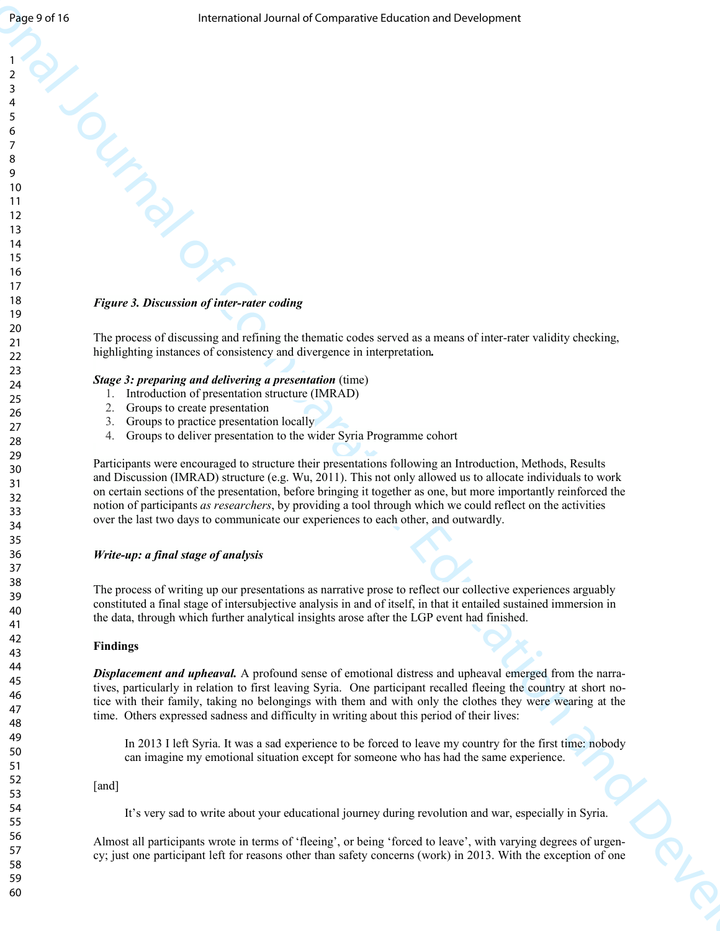#### **Figure 3. Discussion of inter-rater coding**

The process of discussing and refining the thematic codes served as a means of inter-rater validity checking, highlighting instances of consistency and divergence in interpretation.

#### *Stage 3: preparing and delivering a presentation (time)*

- 1. Introduction of presentation structure (IMRAD)
- 2. Groups to create presentation
- 3. Groups to practice presentation locally
- 4. Groups to deliver presentation to the wider Syria Programme cohort

**International of Comparative Education Comparative Education and Development Comparative Education and Development Comparative Education And Comparative Education and Development Comparative Education and Development Com** Participants were encouraged to structure their presentations following an Introduction, Methods, Results and Discussion (IMRAD) structure (e.g. Wu, 2011). This not only allowed us to allocate individuals to work on certain sections of the presentation, before bringing it together as one, but more importantly reinforced the notion of participants *as researchers*, by providing a tool through which we could reflect on the activities over the last two days to communicate our experiences to each other, and outwardly.

#### *Write-up: a final stage of analysis*

The process of writing up our presentations as narrative prose to reflect our collective experiences arguably constituted a final stage of intersubjective analysis in and of itself, in that it entailed sustained immersion in the data, through which further analytical insights arose after the LGP event had finished.

#### **Findings**

**Displacement and upheaval.** A profound sense of emotional distress and upheaval emerged from the narratives, particularly in relation to first leaving Syria. One participant recalled fleeing the country at short no tice with their family, taking no belongings with them and with only the clothes they were wearing at the time. Others expressed sadness and difficulty in writing about this period of their lives:

In 2013 I left Syria. It was a sad experience to be forced to leave my country for the first time: nobody can imagine my emotional situation except for someone who has had the same experience.

[and]

It's very sad to write about your educational journey during revolution and war, especially in Syria.

Almost all participants wrote in terms of 'fleeing', or being 'forced to leave', with varying degrees of urgen cy; just one participant left for reasons other than safety concerns (work) in 2013. With the exception of one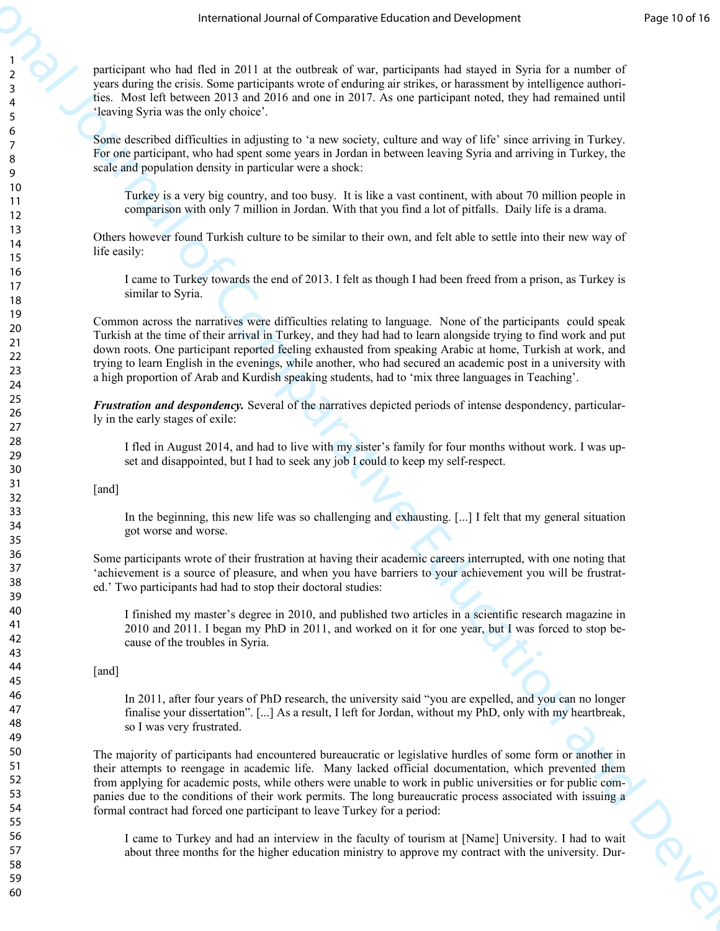participant who had fled in 2011 at the outbreak of war, participants had stayed in Syria for a number of years during the crisis. Some participants wrote of enduring air strikes, or harassment by intelligence authori ties. Most left between 2013 and 2016 and one in 2017. As one participant noted, they had remained until 'leaving Syria was the only choice'.

Some described difficulties in adjusting to 'a new society, culture and way of life' since arriving in Turkey. For one participant, who had spent some years in Jordan in between leaving Syria and arriving in Turkey, the scale and population density in particular were a shock:

Turkey is a very big country, and too busy. It is like a vast continent, with about 70 million people in comparison with only 7 million in Jordan. With that you find a lot of pitfalls. Daily life is a drama.

Others however found Turkish culture to be similar to their own, and felt able to settle into their new way of life easily:

I came to Turkey towards the end of 2013. I felt as though I had been freed from a prison, as Turkey is similar to Syria.

Common across the narratives were difficulties relating to language. None of the participants could speak Turkish at the time of their arrival in Turkey, and they had had to learn alongside trying to find work and put down roots. One participant reported feeling exhausted from speaking Arabic at home, Turkish at work, and trying to learn English in the evenings, while another, who had secured an academic post in a university with a high proportion of Arab and Kurdish speaking students, had to 'mix three languages in Teaching'.

*Frustration and despondency*. Several of the narratives depicted periods of intense despondency, particularly in the early stages of exile:

I fled in August 2014, and had to live with my sister's family for four months without work. I was up set and disappointed, but I had to seek any job I could to keep my self-respect.

#### [and]

In the beginning, this new life was so challenging and exhausting. [...] I felt that my general situation got worse and worse.

Some participants wrote of their frustration at having their academic careers interrupted, with one noting that 'achievement is a source of pleasure, and when you have barriers to your achievement you will be frustrat ed.' Two participants had had to stop their doctoral studies:

I finished my master's degree in 2010, and published two articles in a scientific research magazine in 2010 and 2011. I began my PhD in 2011, and worked on it for one year, but I was forced to stop be cause of the troubles in Syria.

#### [and]

In 2011, after four years of PhD research, the university said "you are expelled, and you can no longer finalise your dissertation". [...] As a result, I left for Jordan, without my PhD, only with my heartbreak, so I was very frustrated.

**INTERFERICANT SUBSERVERTURE CONDUCT AND ACTES CONDUCT CONDUCT AND ACTES CONDUCT CONDUCT CONDUCT AND A CONDUCT CONDUCT CONDUCT CONDUCT CONDUCT CONDUCT CONDUCT CONDUCT CONDUCT CONDUCT CONDUCT CONDUCT CONDUCT CONDUCT CONDUC** The majority of participants had encountered bureaucratic or legislative hurdles of some form or another in their attempts to reengage in academic life. Many lacked official documentation, which prevented them from applying for academic posts, while others were unable to work in public universities or for public com panies due to the conditions of their work permits. The long bureaucratic process associated with issuing a formal contract had forced one participant to leave Turkey for a period:

I came to Turkey and had an interview in the faculty of tourism at [Name] University. I had to wait about three months for the higher education ministry to approve my contract with the university. Dur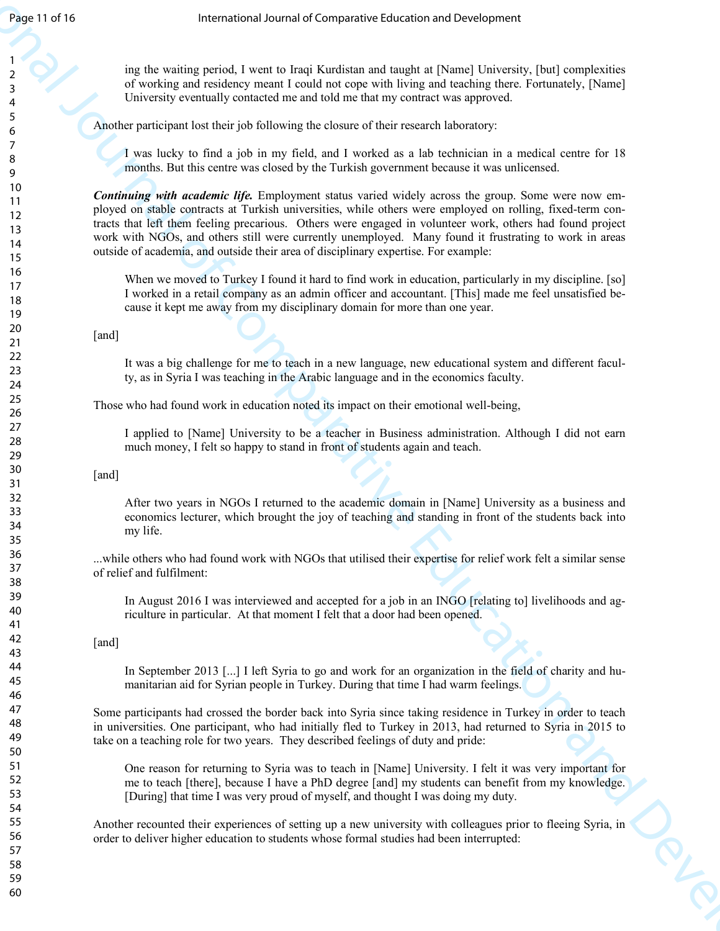ing the waiting period, I went to Iraqi Kurdistan and taught at [Name] University, [but] complexities of working and residency meant I could not cope with living and teaching there. Fortunately, [Name] University eventually contacted me and told me that my contract was approved.

Another participant lost their job following the closure of their research laboratory:

I was lucky to find a job in my field, and I worked as a lab technician in a medical centre for 18 months. But this centre was closed by the Turkish government because it was unlicensed.

**FROM 2018 PERTURN COMPARTIES (COMPARTIES) PERTURN 2018 PERTURN 2018 PERTURN 2018 PERTURN 2018 PERTURN 2018 PERTURN 2018 PERTURN 2018 PERTURN 2018 PERTURN 2018 PERTURN 2018 PERTURN 2018 PERTURN 2** *Continuing with academic life.* Employment status varied widely across the group. Some were now employed on stable contracts at Turkish universities, while others were employed on rolling, fixed-term contracts that left them feeling precarious. Others were engaged in volunteer work, others had found project work with NGOs, and others still were currently unemployed. Many found it frustrating to work in areas outside of academia, and outside their area of disciplinary expertise. For example:

When we moved to Turkey I found it hard to find work in education, particularly in my discipline. [so] I worked in a retail company as an admin officer and accountant. [This] made me feel unsatisfied be cause it kept me away from my disciplinary domain for more than one year.

#### [and]

It was a big challenge for me to teach in a new language, new educational system and different facul ty, as in Syria I was teaching in the Arabic language and in the economics faculty.

Those who had found work in education noted its impact on their emotional well-being,

I applied to [Name] University to be a teacher in Business administration. Although I did not earn much money, I felt so happy to stand in front of students again and teach.

#### [and]

After two years in NGOs I returned to the academic domain in [Name] University as a business and economics lecturer, which brought the joy of teaching and standing in front of the students back into my life.

...while others who had found work with NGOs that utilised their expertise for relief work felt a similar sense of relief and fulfilment:

In August 2016 I was interviewed and accepted for a job in an INGO [relating to] livelihoods and ag riculture in particular. At that moment I felt that a door had been opened.

#### [and]

In September 2013 [...] I left Syria to go and work for an organization in the field of charity and humanitarian aid for Syrian people in Turkey. During that time I had warm feelings.

Some participants had crossed the border back into Syria since taking residence in Turkey in order to teach in universities. One participant, who had initially fled to Turkey in 2013, had returned to Syria in 2015 to take on a teaching role for two years. They described feelings of duty and pride:

One reason for returning to Syria was to teach in [Name] University. I felt it was very important for me to teach [there], because I have a PhD degree [and] my students can benefit from my knowledge. [During] that time I was very proud of myself, and thought I was doing my duty.

Another recounted their experiences of setting up a new university with colleagues prior to fleeing Syria, in order to deliver higher education to students whose formal studies had been interrupted: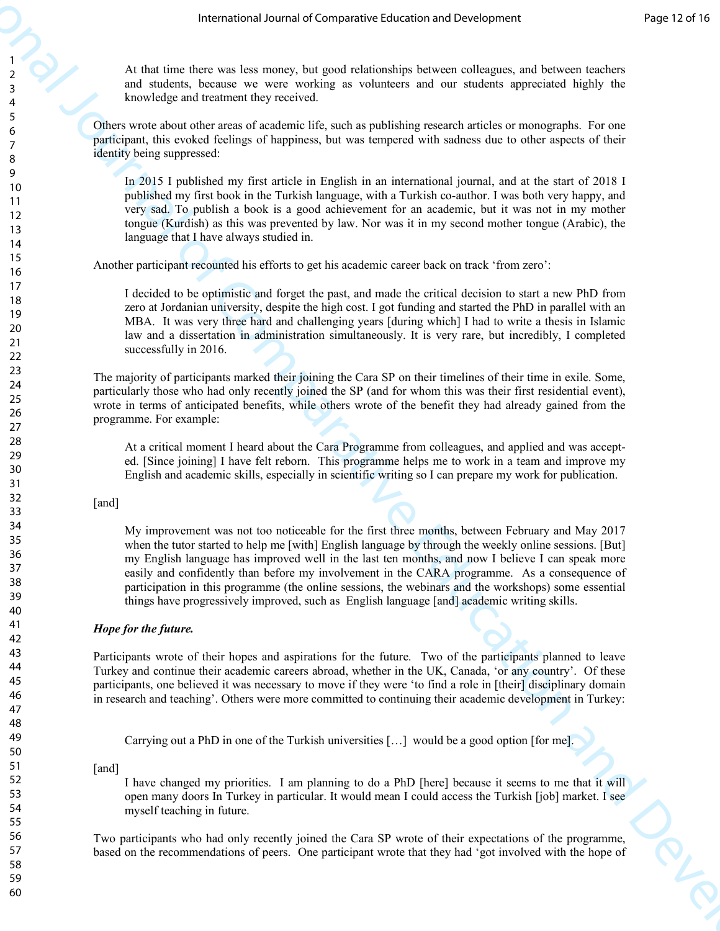At that time there was less money, but good relationships between colleagues, and between teachers and students, because we were working as volunteers and our students appreciated highly the knowledge and treatment they received.

Others wrote about other areas of academic life, such as publishing research articles or monographs. For one participant, this evoked feelings of happiness, but was tempered with sadness due to other aspects of their identity being suppressed:

In 2015 I published my first article in English in an international journal, and at the start of 2018 I published my first book in the Turkish language, with a Turkish co-author. I was both very happy, and very sad. To publish a book is a good achievement for an academic, but it was not in my mother tongue (Kurdish) as this was prevented by law. Nor was it in my second mother tongue (Arabic), the language that I have always studied in.

Another participant recounted his efforts to get his academic career back on track 'from zero':

I decided to be optimistic and forget the past, and made the critical decision to start a new PhD from zero at Jordanian university, despite the high cost. I got funding and started the PhD in parallel with an MBA. It was very three hard and challenging years [during which] I had to write a thesis in Islamic law and a dissertation in administration simultaneously. It is very rare, but incredibly, I completed successfully in 2016.

The majority of participants marked their joining the Cara SP on their timelines of their time in exile. Some, particularly those who had only recently joined the SP (and for whom this was their first residential event), wrote in terms of anticipated benefits, while others wrote of the benefit they had already gained from the programme. For example:

At a critical moment I heard about the Cara Programme from colleagues, and applied and was accept ed. [Since joining] I have felt reborn. This programme helps me to work in a team and improve my English and academic skills, especially in scientific writing so I can prepare my work for publication.

#### [and]

**INTernational of Comparative Entertainment and the symphony and the symphony and the symphony international ACC (** $\sim$  **100 mm) (** $\sim$  **100 mm) (** $\sim$  **100 mm) (** $\sim$  **100 mm) (** $\sim$  **100 mm) (** $\sim$  **100 mm) (** $\sim$  **100 mm) (** $\sim$  **100** My improvement was not too noticeable for the first three months, between February and May 2017 when the tutor started to help me [with] English language by through the weekly online sessions. [But] my English language has improved well in the last ten months, and now I believe I can speak more easily and confidently than before my involvement in the CARA programme. As a consequence of participation in this programme (the online sessions, the webinars and the workshops) some essential things have progressively improved, such as English language [and] academic writing skills.

#### **Hope for the future.**

Participants wrote of their hopes and aspirations for the future. Two of the participants planned to leave Turkey and continue their academic careers abroad, whether in the UK, Canada, 'or any country'. Of these participants, one believed it was necessary to move if they were 'to find a role in [their] disciplinary domain in research and teaching'. Others were more committed to continuing their academic development in Turkey:

Carrying out a PhD in one of the Turkish universities […] would be a good option [for me].

[and]

I have changed my priorities. I am planning to do a PhD [here] because it seems to me that it will open many doors In Turkey in particular. It would mean I could access the Turkish [job] market. I see myself teaching in future.

Two participants who had only recently joined the Cara SP wrote of their expectations of the programme, based on the recommendations of peers. One participant wrote that they had 'got involved with the hope of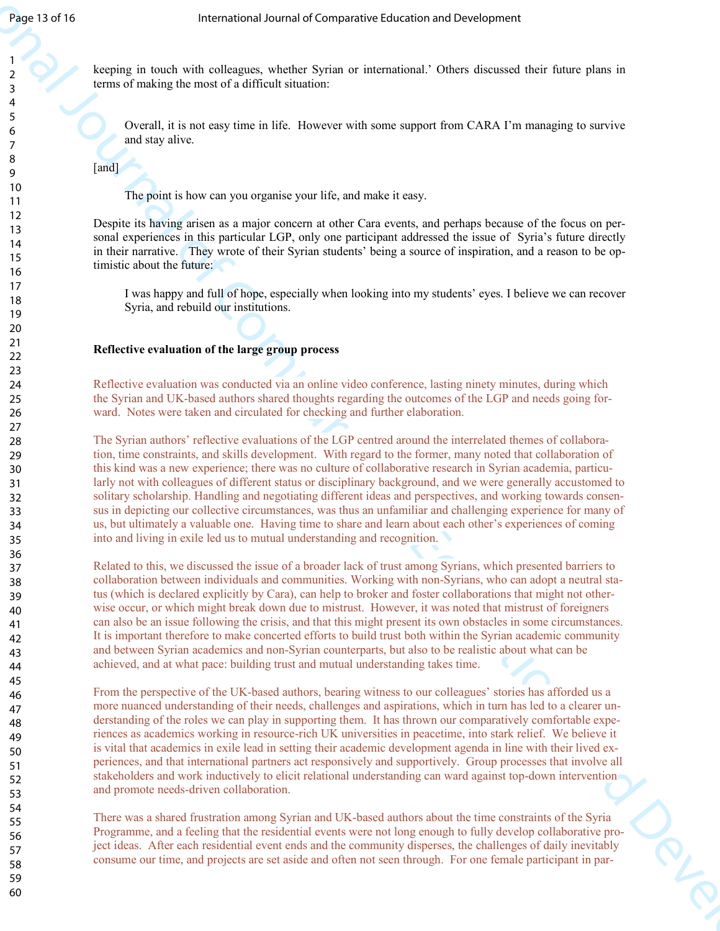keeping in touch with colleagues, whether Syrian or international.' Others discussed their future plans in terms of making the most of a difficult situation:

Overall, it is not easy time in life. However with some support from CARA I'm managing to survive and stay alive.

[and]

The point is how can you organise your life, and make it easy.

Despite its having arisen as a major concern at other Cara events, and perhaps because of the focus on per sonal experiences in this particular LGP, only one participant addressed the issue of Syria's future directly in their narrative. They wrote of their Syrian students' being a source of inspiration, and a reason to be op timistic about the future:

I was happy and full of hope, especially when looking into my students' eyes. I believe we can recover Syria, and rebuild our institutions.

#### **Reflective evaluation of the large group process**

Reflective evaluation was conducted via an online video conference, lasting ninety minutes, during which the Syrian and UK-based authors shared thoughts regarding the outcomes of the LGP and needs going forward. Notes were taken and circulated for checking and further elaboration.

The Syrian authors' reflective evaluations of the LGP centred around the interrelated themes of collabora tion, time constraints, and skills development. With regard to the former, many noted that collaboration of this kind was a new experience; there was no culture of collaborative research in Syrian academia, particu larly not with colleagues of different status or disciplinary background, and we were generally accustomed to solitary scholarship. Handling and negotiating different ideas and perspectives, and working towards consen sus in depicting our collective circumstances, was thus an unfamiliar and challenging experience for many of us, but ultimately a valuable one. Having time to share and learn about each other's experiences of coming into and living in exile led us to mutual understanding and recognition.

**IF and 18 of the matrix of the state of the matrix in the state of the first of the matrix of the matrix of the matrix of the matrix of the matrix of the matrix of the matrix of the matrix of the matrix of the matrix of** Related to this, we discussed the issue of a broader lack of trust among Syrians, which presented barriers to collaboration between individuals and communities. Working with non-Syrians, who can adopt a neutral status (which is declared explicitly by Cara), can help to broker and foster collaborations that might not other wise occur, or which might break down due to mistrust. However, it was noted that mistrust of foreigners can also be an issue following the crisis, and that this might present its own obstacles in some circumstances. It is important therefore to make concerted efforts to build trust both within the Syrian academic community and between Syrian academics and non-Syrian counterparts, but also to be realistic about what can be achieved, and at what pace: building trust and mutual understanding takes time.

From the perspective of the UK-based authors, bearing witness to our colleagues' stories has afforded us a more nuanced understanding of their needs, challenges and aspirations, which in turn has led to a clearer un derstanding of the roles we can play in supporting them. It has thrown our comparatively comfortable expe riences as academics working in resource-rich UK universities in peacetime, into stark relief. We believe it is vital that academics in exile lead in setting their academic development agenda in line with their lived ex periences, and that international partners act responsively and supportively. Group processes that involve all stakeholders and work inductively to elicit relational understanding can ward against top-down intervention and promote needs-driven collaboration.

There was a shared frustration among Syrian and UK-based authors about the time constraints of the Syria Programme, and a feeling that the residential events were not long enough to fully develop collaborative pro ject ideas. After each residential event ends and the community disperses, the challenges of daily inevitably consume our time, and projects are set aside and often not seen through. For one female participant in par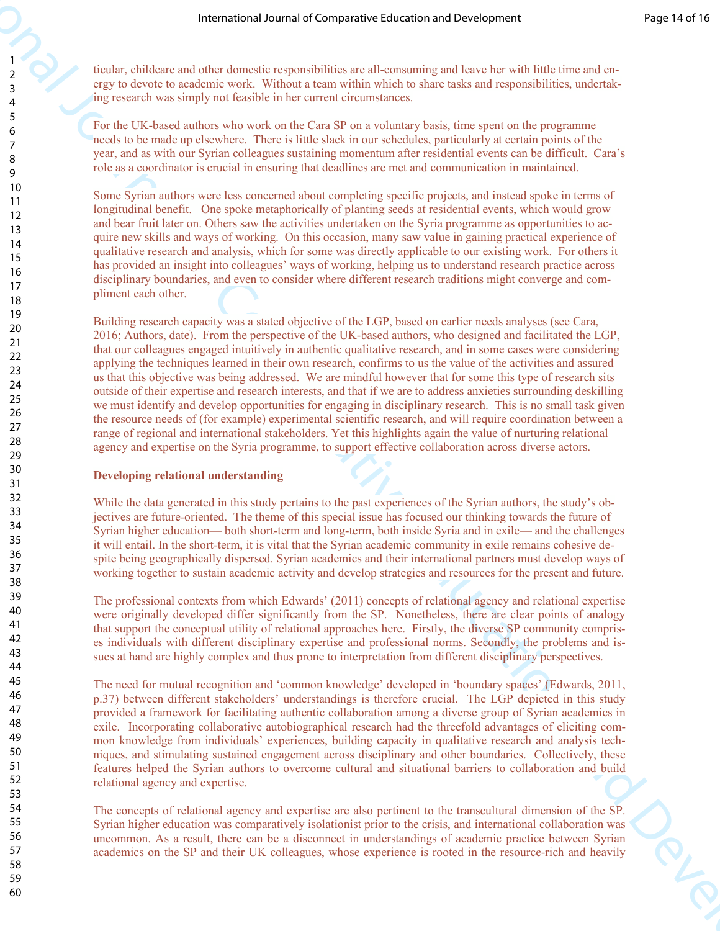ticular, childcare and other domestic responsibilities are all-consuming and leave her with little time and energy to devote to academic work. Without a team within which to share tasks and responsibilities, undertak ing research was simply not feasible in her current circumstances.

For the UK-based authors who work on the Cara SP on a voluntary basis, time spent on the programme needs to be made up elsewhere. There is little slack in our schedules, particularly at certain points of the year, and as with our Syrian colleagues sustaining momentum after residential events can be difficult. Cara's role as a coordinator is crucial in ensuring that deadlines are met and communication in maintained.

Some Syrian authors were less concerned about completing specific projects, and instead spoke in terms of longitudinal benefit. One spoke metaphorically of planting seeds at residential events, which would grow and bear fruit later on. Others saw the activities undertaken on the Syria programme as opportunities to ac quire new skills and ways of working. On this occasion, many saw value in gaining practical experience of qualitative research and analysis, which for some was directly applicable to our existing work. For others it has provided an insight into colleagues' ways of working, helping us to understand research practice across disciplinary boundaries, and even to consider where different research traditions might converge and com pliment each other.

**IFEND AND THE CONSULTER CONSULTER CONSULTER CONSULTER CONSULTER CONSULTER CONSULTER CONSULTER CONSULTER CONSULTER CONSULTER CONSULTER CONSULTER CONSULTER CONSULTER CONSULTER CONSULTER CONSULTER CONSULTER CONSULTER CONSUL** Building research capacity was a stated objective of the LGP, based on earlier needs analyses (see Cara, 2016; Authors, date). From the perspective of the UK-based authors, who designed and facilitated the LGP, that our colleagues engaged intuitively in authentic qualitative research, and in some cases were considering applying the techniques learned in their own research, confirms to us the value of the activities and assured us that this objective was being addressed. We are mindful however that for some this type of research sits outside of their expertise and research interests, and that if we are to address anxieties surrounding deskilling we must identify and develop opportunities for engaging in disciplinary research. This is no small task given the resource needs of (for example) experimental scientific research, and will require coordination between a range of regional and international stakeholders. Yet this highlights again the value of nurturing relational agency and expertise on the Syria programme, to support effective collaboration across diverse actors.

#### **Developing relational understanding**

While the data generated in this study pertains to the past experiences of the Syrian authors, the study's objectives are future-oriented. The theme of this special issue has focused our thinking towards the future of Syrian higher education— both short-term and long-term, both inside Syria and in exile— and the challenges it will entail. In the short-term, it is vital that the Syrian academic community in exile remains cohesive despite being geographically dispersed. Syrian academics and their international partners must develop ways of working together to sustain academic activity and develop strategies and resources for the present and future.

The professional contexts from which Edwards' (2011) concepts of relational agency and relational expertise were originally developed differ significantly from the SP. Nonetheless, there are clear points of analogy that support the conceptual utility of relational approaches here. Firstly, the diverse SP community compris es individuals with different disciplinary expertise and professional norms. Secondly, the problems and is sues at hand are highly complex and thus prone to interpretation from different disciplinary perspectives.

The need for mutual recognition and 'common knowledge' developed in 'boundary spaces' (Edwards, 2011, p.37) between different stakeholders' understandings is therefore crucial. The LGP depicted in this study provided a framework for facilitating authentic collaboration among a diverse group of Syrian academics in exile. Incorporating collaborative autobiographical research had the threefold advantages of eliciting com mon knowledge from individuals' experiences, building capacity in qualitative research and analysis tech niques, and stimulating sustained engagement across disciplinary and other boundaries. Collectively, these features helped the Syrian authors to overcome cultural and situational barriers to collaboration and build relational agency and expertise.

The concepts of relational agency and expertise are also pertinent to the transcultural dimension of the SP. Syrian higher education was comparatively isolationist prior to the crisis, and international collaboration was uncommon. As a result, there can be a disconnect in understandings of academic practice between Syrian academics on the SP and their UK colleagues, whose experience is rooted in the resource-rich and heavily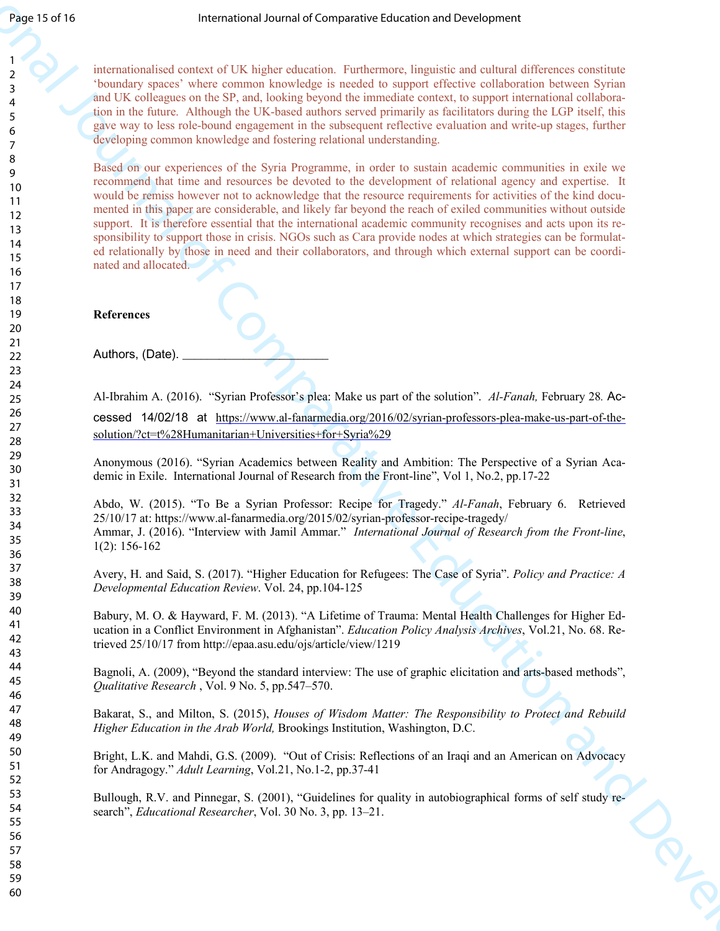internationalised context of UK higher education. Furthermore, linguistic and cultural differences constitute 'boundary spaces' where common knowledge is needed to support effective collaboration between Syrian and UK colleagues on the SP, and, looking beyond the immediate context, to support international collabora tion in the future. Although the UK-based authors served primarily as facilitators during the LGP itself, this gave way to less role-bound engagement in the subsequent reflective evaluation and write-up stages, further developing common knowledge and fostering relational understanding.

**FRANCISC INTERFERICATION CONSULTERING INTERFERICATION CONSULTERING INTERFERICATION CONSULTERING INTERFERICATION CONSULTERING INTERFERICATION CONSULTERING INTERFERICATION CONSULTERING INTERFERICATION CONSULT** Based on our experiences of the Syria Programme, in order to sustain academic communities in exile we recommend that time and resources be devoted to the development of relational agency and expertise. It would be remiss however not to acknowledge that the resource requirements for activities of the kind docu mented in this paper are considerable, and likely far beyond the reach of exiled communities without outside support. It is therefore essential that the international academic community recognises and acts upon its responsibility to support those in crisis. NGOs such as Cara provide nodes at which strategies can be formulated relationally by those in need and their collaborators, and through which external support can be coordi nated and allocated.

#### **References**

Authors, (Date).

Al-Ibrahim A. (2016). "Syrian Professor's plea: Make us part of the solution". *Al-Fanah*, February 28. Accessed 14/02/18 at https://www.al-fanarmedia.org/2016/02/syrian-professors-plea-make-us-part-of-thesolution/?ct=t%28Humanitarian+Universities+for+Syria%29

Anonymous (2016). "Syrian Academics between Reality and Ambition: The Perspective of a Syrian Aca demic in Exile. International Journal of Research from the Front-line", Vol 1, No.2, pp.17-22

Abdo, W. (2015). "To Be a Syrian Professor: Recipe for Tragedy." Al-Fanah, February 6. Retrieved  $25/10/17$  at: https://www.al-fanarmedia.org/2015/02/syrian-professor-recipe-tragedy/ Ammar, J. (2016). "Interview with Jamil Ammar." *International Journal of Research from the Front-line*,  $1(2): 156-162$ 

Avery, H. and Said, S. (2017). "Higher Education for Refugees: The Case of Syria". *Policy and Practice: A* Developmental Education Review. Vol. 24, pp.104-125

Babury, M. O. & Hayward, F. M. (2013). "A Lifetime of Trauma: Mental Health Challenges for Higher Ed ucation in a Conflict Environment in Afghanistan". *Education Policy Analysis Archives*, Vol.21, No. 68. Retrieved 25/10/17 from http://epaa.asu.edu/ojs/article/view/1219

Bagnoli, A. (2009), "Beyond the standard interview: The use of graphic elicitation and arts-based methods", *Qualitative Research*, Vol. 9 No. 5, pp.547–570.

Bakarat, S., and Milton, S. (2015), *Houses of Wisdom Matter: The Responsibility to Protect and Rebuild* Higher Education in the Arab World, Brookings Institution, Washington, D.C.

Bright, L.K. and Mahdi, G.S. (2009). "Out of Crisis: Reflections of an Iraqi and an American on Advocacy for Andragogy." *Adult Learning*, Vol.21, No.1-2, pp.37-41

Bullough, R.V. and Pinnegar, S. (2001), "Guidelines for quality in autobiographical forms of self study re search", *Educational Researcher*, Vol. 30 No. 3, pp. 13-21.